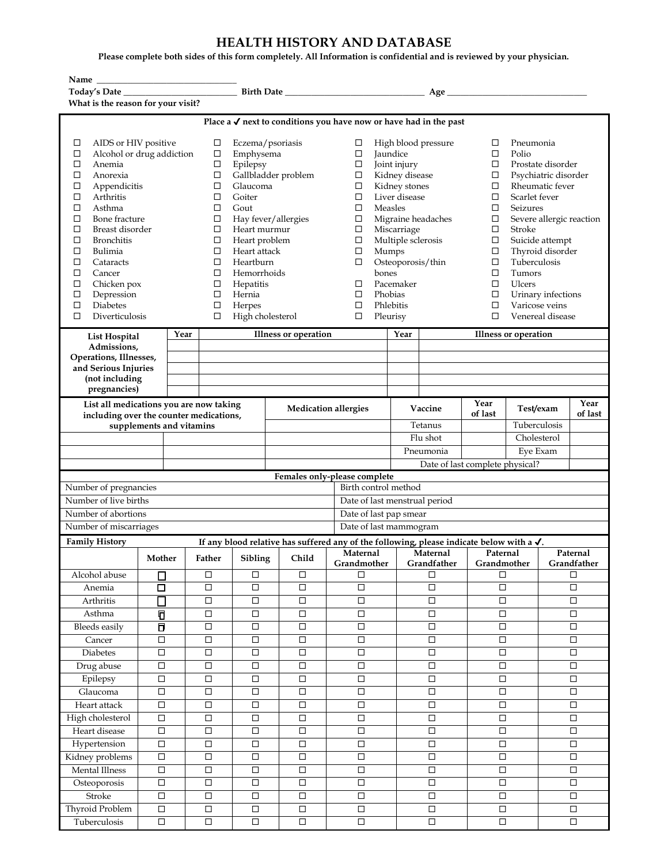## **HEALTH HISTORY AND DATABASE**

**Please complete both sides of this form completely. All Information is confidential and is reviewed by your physician.**

| Name                                                                                                                                                                                                                                                                                                                                                                                         |                            |                  |                                                                                                       |                                                                                                                                                                                                                                                                                 |                               |                                        |                         |                                                                                                                                                                                                                                                                                                                                                                                                |        |                 |                                 |                                                                                                      |                                                                                                                                                                                                                                                                                                                                                                                                                          |              |             |        |                       |
|----------------------------------------------------------------------------------------------------------------------------------------------------------------------------------------------------------------------------------------------------------------------------------------------------------------------------------------------------------------------------------------------|----------------------------|------------------|-------------------------------------------------------------------------------------------------------|---------------------------------------------------------------------------------------------------------------------------------------------------------------------------------------------------------------------------------------------------------------------------------|-------------------------------|----------------------------------------|-------------------------|------------------------------------------------------------------------------------------------------------------------------------------------------------------------------------------------------------------------------------------------------------------------------------------------------------------------------------------------------------------------------------------------|--------|-----------------|---------------------------------|------------------------------------------------------------------------------------------------------|--------------------------------------------------------------------------------------------------------------------------------------------------------------------------------------------------------------------------------------------------------------------------------------------------------------------------------------------------------------------------------------------------------------------------|--------------|-------------|--------|-----------------------|
| Today's Date                                                                                                                                                                                                                                                                                                                                                                                 |                            |                  |                                                                                                       |                                                                                                                                                                                                                                                                                 |                               |                                        |                         |                                                                                                                                                                                                                                                                                                                                                                                                | Age    |                 |                                 |                                                                                                      |                                                                                                                                                                                                                                                                                                                                                                                                                          |              |             |        |                       |
| What is the reason for your visit?                                                                                                                                                                                                                                                                                                                                                           |                            |                  |                                                                                                       |                                                                                                                                                                                                                                                                                 |                               |                                        |                         |                                                                                                                                                                                                                                                                                                                                                                                                |        |                 |                                 |                                                                                                      |                                                                                                                                                                                                                                                                                                                                                                                                                          |              |             |        |                       |
| Place a $\checkmark$ next to conditions you have now or have had in the past                                                                                                                                                                                                                                                                                                                 |                            |                  |                                                                                                       |                                                                                                                                                                                                                                                                                 |                               |                                        |                         |                                                                                                                                                                                                                                                                                                                                                                                                |        |                 |                                 |                                                                                                      |                                                                                                                                                                                                                                                                                                                                                                                                                          |              |             |        |                       |
| AIDS or HIV positive<br>□<br>Alcohol or drug addiction<br>□<br>□<br>Anemia<br>□<br>Anorexia<br>□<br>Appendicitis<br>□<br>Arthritis<br>□<br>Asthma<br>□<br>Bone fracture<br>□<br>Breast disorder<br>□<br><b>Bronchitis</b><br>□<br>Bulimia<br>$\Box$<br>Cataracts<br>□<br>Cancer<br>□<br>Chicken pox<br>Depression<br>$\Box$<br><b>Diabetes</b><br>$\Box$<br>$\Box$<br>Diverticulosis<br>Year |                            |                  | ⊔<br>$\Box$<br>□<br>□<br>□<br>□<br>□<br>□<br>□<br>□<br>□<br>$\Box$<br>□<br>$\Box$<br>$\Box$<br>□<br>□ | Eczema/psoriasis<br>Emphysema<br>Epilepsy<br>Gallbladder problem<br>Glaucoma<br>Goiter<br>Gout<br>Hay fever/allergies<br>Heart murmur<br>Heart problem<br>Heart attack<br>Heartburn<br>Hemorrhoids<br>Hepatitis<br>Hernia<br>Herpes<br>High cholesterol<br>Illness or operation |                               |                                        |                         | High blood pressure<br>$\Box$<br>Jaundice<br>□<br>□<br>Joint injury<br>Kidney disease<br>$\Box$<br>Kidney stones<br>□<br>$\Box$<br>Liver disease<br><b>Measles</b><br>□<br>□<br>Migraine headaches<br>□<br>Miscarriage<br>Multiple sclerosis<br>$\Box$<br>$\Box$<br>Mumps<br>Osteoporosis/thin<br>□<br>bones<br>Pacemaker<br>□<br>□<br>Phobias<br>$\Box$<br>Phlebitis<br>□<br>Pleurisy<br>Year |        |                 |                                 |                                                                                                      | Pneumonia<br>□<br>□<br>Polio<br>□<br>Prostate disorder<br>Psychiatric disorder<br>□<br>Rheumatic fever<br>□<br>□<br>Scarlet fever<br>Seizures<br>□<br>$\Box$<br>Severe allergic reaction<br>□<br>Stroke<br>$\Box$<br>Suicide attempt<br>Thyroid disorder<br>□<br>Tuberculosis<br>□<br>Tumors<br>□<br>□<br>Ulcers<br>$\Box$<br>Urinary infections<br>Varicose veins<br>□<br>□<br>Venereal disease<br>Illness or operation |              |             |        |                       |
| List Hospital<br>Admissions,                                                                                                                                                                                                                                                                                                                                                                 |                            |                  |                                                                                                       |                                                                                                                                                                                                                                                                                 |                               |                                        |                         |                                                                                                                                                                                                                                                                                                                                                                                                |        |                 |                                 |                                                                                                      |                                                                                                                                                                                                                                                                                                                                                                                                                          |              |             |        |                       |
| Operations, Illnesses,                                                                                                                                                                                                                                                                                                                                                                       |                            |                  |                                                                                                       |                                                                                                                                                                                                                                                                                 |                               |                                        |                         |                                                                                                                                                                                                                                                                                                                                                                                                |        |                 |                                 |                                                                                                      |                                                                                                                                                                                                                                                                                                                                                                                                                          |              |             |        |                       |
| and Serious Injuries                                                                                                                                                                                                                                                                                                                                                                         |                            |                  |                                                                                                       |                                                                                                                                                                                                                                                                                 |                               |                                        |                         |                                                                                                                                                                                                                                                                                                                                                                                                |        |                 |                                 |                                                                                                      |                                                                                                                                                                                                                                                                                                                                                                                                                          |              |             |        |                       |
| (not including                                                                                                                                                                                                                                                                                                                                                                               |                            |                  |                                                                                                       |                                                                                                                                                                                                                                                                                 |                               |                                        |                         |                                                                                                                                                                                                                                                                                                                                                                                                |        |                 |                                 |                                                                                                      |                                                                                                                                                                                                                                                                                                                                                                                                                          |              |             |        |                       |
| pregnancies)                                                                                                                                                                                                                                                                                                                                                                                 |                            |                  |                                                                                                       |                                                                                                                                                                                                                                                                                 |                               |                                        |                         |                                                                                                                                                                                                                                                                                                                                                                                                |        |                 |                                 |                                                                                                      |                                                                                                                                                                                                                                                                                                                                                                                                                          |              |             |        |                       |
| List all medications you are now taking<br>including over the counter medications,                                                                                                                                                                                                                                                                                                           |                            |                  |                                                                                                       |                                                                                                                                                                                                                                                                                 |                               | <b>Medication allergies</b><br>Vaccine |                         |                                                                                                                                                                                                                                                                                                                                                                                                |        | Year<br>of last | Test/exam                       |                                                                                                      | Year<br>of last                                                                                                                                                                                                                                                                                                                                                                                                          |              |             |        |                       |
|                                                                                                                                                                                                                                                                                                                                                                                              | supplements and vitamins   |                  |                                                                                                       |                                                                                                                                                                                                                                                                                 |                               |                                        |                         | Tetanus                                                                                                                                                                                                                                                                                                                                                                                        |        |                 |                                 |                                                                                                      |                                                                                                                                                                                                                                                                                                                                                                                                                          | Tuberculosis |             |        |                       |
|                                                                                                                                                                                                                                                                                                                                                                                              |                            |                  |                                                                                                       |                                                                                                                                                                                                                                                                                 |                               |                                        |                         | Flu shot                                                                                                                                                                                                                                                                                                                                                                                       |        |                 |                                 |                                                                                                      |                                                                                                                                                                                                                                                                                                                                                                                                                          | Cholesterol  |             |        |                       |
|                                                                                                                                                                                                                                                                                                                                                                                              |                            |                  |                                                                                                       |                                                                                                                                                                                                                                                                                 |                               |                                        |                         | Pneumonia                                                                                                                                                                                                                                                                                                                                                                                      |        |                 |                                 | Eye Exam                                                                                             |                                                                                                                                                                                                                                                                                                                                                                                                                          |              |             |        |                       |
|                                                                                                                                                                                                                                                                                                                                                                                              |                            |                  |                                                                                                       |                                                                                                                                                                                                                                                                                 |                               |                                        |                         |                                                                                                                                                                                                                                                                                                                                                                                                |        |                 | Date of last complete physical? |                                                                                                      |                                                                                                                                                                                                                                                                                                                                                                                                                          |              |             |        |                       |
|                                                                                                                                                                                                                                                                                                                                                                                              |                            |                  |                                                                                                       |                                                                                                                                                                                                                                                                                 | Females only-please complete  |                                        |                         |                                                                                                                                                                                                                                                                                                                                                                                                |        |                 |                                 |                                                                                                      |                                                                                                                                                                                                                                                                                                                                                                                                                          |              |             |        |                       |
| Number of pregnancies<br>Birth control method                                                                                                                                                                                                                                                                                                                                                |                            |                  |                                                                                                       |                                                                                                                                                                                                                                                                                 |                               |                                        |                         |                                                                                                                                                                                                                                                                                                                                                                                                |        |                 |                                 |                                                                                                      |                                                                                                                                                                                                                                                                                                                                                                                                                          |              |             |        |                       |
| Number of live births                                                                                                                                                                                                                                                                                                                                                                        |                            |                  |                                                                                                       |                                                                                                                                                                                                                                                                                 | Date of last menstrual period |                                        |                         |                                                                                                                                                                                                                                                                                                                                                                                                |        |                 |                                 |                                                                                                      |                                                                                                                                                                                                                                                                                                                                                                                                                          |              |             |        |                       |
| Number of abortions                                                                                                                                                                                                                                                                                                                                                                          |                            |                  |                                                                                                       |                                                                                                                                                                                                                                                                                 |                               |                                        |                         | Date of last pap smear                                                                                                                                                                                                                                                                                                                                                                         |        |                 |                                 |                                                                                                      |                                                                                                                                                                                                                                                                                                                                                                                                                          |              |             |        |                       |
| Number of miscarriages                                                                                                                                                                                                                                                                                                                                                                       |                            |                  |                                                                                                       |                                                                                                                                                                                                                                                                                 |                               |                                        |                         | Date of last mammogram                                                                                                                                                                                                                                                                                                                                                                         |        |                 |                                 |                                                                                                      |                                                                                                                                                                                                                                                                                                                                                                                                                          |              |             |        |                       |
| <b>Family History</b>                                                                                                                                                                                                                                                                                                                                                                        |                            |                  |                                                                                                       |                                                                                                                                                                                                                                                                                 |                               |                                        |                         |                                                                                                                                                                                                                                                                                                                                                                                                |        |                 |                                 | If any blood relative has suffered any of the following, please indicate below with a $\checkmark$ . |                                                                                                                                                                                                                                                                                                                                                                                                                          |              |             |        |                       |
|                                                                                                                                                                                                                                                                                                                                                                                              | Mother                     |                  | Father<br>Sibling                                                                                     |                                                                                                                                                                                                                                                                                 |                               | Child                                  | Maternal<br>Grandmother |                                                                                                                                                                                                                                                                                                                                                                                                |        |                 | Maternal<br>Grandfather         |                                                                                                      |                                                                                                                                                                                                                                                                                                                                                                                                                          | Paternal     | Grandmother |        | Paternal              |
| Alcohol abuse                                                                                                                                                                                                                                                                                                                                                                                | □                          |                  | $\Box$                                                                                                | $\Box$                                                                                                                                                                                                                                                                          |                               | $\Box$                                 |                         | $\Box$                                                                                                                                                                                                                                                                                                                                                                                         |        |                 |                                 | $\Box$                                                                                               |                                                                                                                                                                                                                                                                                                                                                                                                                          | $\Box$       |             |        | Grandfather<br>$\Box$ |
| Anemia                                                                                                                                                                                                                                                                                                                                                                                       | □                          |                  | $\Box$                                                                                                | $\Box$                                                                                                                                                                                                                                                                          |                               | $\Box$                                 |                         | $\Box$                                                                                                                                                                                                                                                                                                                                                                                         |        |                 |                                 | $\Box$                                                                                               |                                                                                                                                                                                                                                                                                                                                                                                                                          | $\Box$       |             |        | $\Box$                |
| Arthritis                                                                                                                                                                                                                                                                                                                                                                                    | $\Box$                     |                  | $\Box$                                                                                                | $\Box$                                                                                                                                                                                                                                                                          |                               | $\Box$                                 |                         | $\Box$                                                                                                                                                                                                                                                                                                                                                                                         |        |                 |                                 | $\Box$                                                                                               |                                                                                                                                                                                                                                                                                                                                                                                                                          | $\Box$       |             |        | $\Box$                |
| Asthma                                                                                                                                                                                                                                                                                                                                                                                       | $\overline{\mathsf{D}}$    |                  | $\Box$                                                                                                | $\Box$                                                                                                                                                                                                                                                                          |                               | $\Box$                                 |                         | $\Box$                                                                                                                                                                                                                                                                                                                                                                                         |        |                 |                                 | $\Box$                                                                                               | $\Box$                                                                                                                                                                                                                                                                                                                                                                                                                   |              |             |        | $\Box$                |
| <b>Bleeds</b> easily                                                                                                                                                                                                                                                                                                                                                                         | $\Box$                     |                  | $\Box$                                                                                                | $\Box$                                                                                                                                                                                                                                                                          |                               | $\Box$                                 |                         | $\Box$                                                                                                                                                                                                                                                                                                                                                                                         |        |                 | $\Box$                          |                                                                                                      | $\Box$                                                                                                                                                                                                                                                                                                                                                                                                                   |              |             |        | $\Box$                |
| Cancer                                                                                                                                                                                                                                                                                                                                                                                       | $\Box$                     |                  | $\Box$                                                                                                | $\Box$                                                                                                                                                                                                                                                                          |                               | $\Box$                                 |                         | $\Box$                                                                                                                                                                                                                                                                                                                                                                                         |        |                 | $\Box$                          |                                                                                                      | $\Box$                                                                                                                                                                                                                                                                                                                                                                                                                   |              |             |        | $\Box$                |
| <b>Diabetes</b>                                                                                                                                                                                                                                                                                                                                                                              | $\Box$                     |                  | $\Box$                                                                                                | $\Box$                                                                                                                                                                                                                                                                          |                               | $\Box$                                 |                         | $\Box$                                                                                                                                                                                                                                                                                                                                                                                         |        |                 | $\Box$                          |                                                                                                      | $\Box$                                                                                                                                                                                                                                                                                                                                                                                                                   |              |             | $\Box$ |                       |
| Drug abuse                                                                                                                                                                                                                                                                                                                                                                                   | $\Box$                     |                  | $\Box$                                                                                                | $\Box$                                                                                                                                                                                                                                                                          |                               | $\Box$                                 |                         | $\Box$                                                                                                                                                                                                                                                                                                                                                                                         |        |                 | $\Box$                          |                                                                                                      |                                                                                                                                                                                                                                                                                                                                                                                                                          | $\Box$       |             |        | $\Box$                |
| Epilepsy                                                                                                                                                                                                                                                                                                                                                                                     | $\Box$<br>$\Box$           |                  |                                                                                                       | $\Box$<br>$\Box$                                                                                                                                                                                                                                                                |                               |                                        | $\Box$                  |                                                                                                                                                                                                                                                                                                                                                                                                |        | $\Box$          |                                 |                                                                                                      | $\Box$                                                                                                                                                                                                                                                                                                                                                                                                                   |              |             | $\Box$ |                       |
| Glaucoma                                                                                                                                                                                                                                                                                                                                                                                     | $\Box$<br>$\Box$           |                  | $\Box$                                                                                                | $\Box$                                                                                                                                                                                                                                                                          |                               |                                        | $\Box$                  |                                                                                                                                                                                                                                                                                                                                                                                                |        | $\Box$          |                                 |                                                                                                      | $\Box$                                                                                                                                                                                                                                                                                                                                                                                                                   |              |             | $\Box$ |                       |
| Heart attack                                                                                                                                                                                                                                                                                                                                                                                 | $\Box$<br>$\Box$           |                  | $\Box$                                                                                                |                                                                                                                                                                                                                                                                                 | $\Box$                        |                                        | $\Box$                  |                                                                                                                                                                                                                                                                                                                                                                                                |        | $\Box$          |                                 |                                                                                                      | $\Box$                                                                                                                                                                                                                                                                                                                                                                                                                   |              |             | $\Box$ |                       |
| High cholesterol                                                                                                                                                                                                                                                                                                                                                                             | $\Box$<br>$\Box$<br>$\Box$ |                  |                                                                                                       | □                                                                                                                                                                                                                                                                               | $\Box$                        |                                        |                         |                                                                                                                                                                                                                                                                                                                                                                                                | $\Box$ |                 |                                 | $\Box$                                                                                               |                                                                                                                                                                                                                                                                                                                                                                                                                          |              | $\Box$      |        |                       |
| Heart disease                                                                                                                                                                                                                                                                                                                                                                                | $\Box$                     | $\Box$<br>$\Box$ |                                                                                                       | $\Box$                                                                                                                                                                                                                                                                          |                               | $\Box$                                 |                         |                                                                                                                                                                                                                                                                                                                                                                                                | $\Box$ |                 |                                 | $\Box$                                                                                               |                                                                                                                                                                                                                                                                                                                                                                                                                          |              | $\Box$      |        |                       |
| Hypertension                                                                                                                                                                                                                                                                                                                                                                                 | $\Box$<br>$\Box$<br>$\Box$ |                  | $\Box$                                                                                                |                                                                                                                                                                                                                                                                                 | $\Box$                        |                                        |                         | $\Box$                                                                                                                                                                                                                                                                                                                                                                                         |        |                 | $\Box$                          |                                                                                                      |                                                                                                                                                                                                                                                                                                                                                                                                                          | $\Box$       |             |        |                       |
| Kidney problems                                                                                                                                                                                                                                                                                                                                                                              | $\Box$<br>$\Box$<br>$\Box$ |                  |                                                                                                       | $\Box$                                                                                                                                                                                                                                                                          | $\Box$                        |                                        |                         | $\Box$                                                                                                                                                                                                                                                                                                                                                                                         |        |                 | $\Box$                          |                                                                                                      |                                                                                                                                                                                                                                                                                                                                                                                                                          | $\Box$       |             |        |                       |
| Mental Illness                                                                                                                                                                                                                                                                                                                                                                               | $\Box$                     |                  | $\Box$                                                                                                | $\Box$                                                                                                                                                                                                                                                                          | $\Box$                        |                                        |                         | $\Box$                                                                                                                                                                                                                                                                                                                                                                                         |        |                 | $\Box$                          |                                                                                                      |                                                                                                                                                                                                                                                                                                                                                                                                                          | $\Box$       |             |        | $\Box$                |
| Osteoporosis                                                                                                                                                                                                                                                                                                                                                                                 | $\Box$                     |                  | $\Box$                                                                                                | $\Box$                                                                                                                                                                                                                                                                          | □                             |                                        |                         | $\Box$                                                                                                                                                                                                                                                                                                                                                                                         |        |                 | $\Box$                          |                                                                                                      |                                                                                                                                                                                                                                                                                                                                                                                                                          | □            |             |        | □                     |
| Stroke                                                                                                                                                                                                                                                                                                                                                                                       | $\Box$                     |                  | $\Box$                                                                                                | $\Box$                                                                                                                                                                                                                                                                          |                               | $\Box$                                 |                         | $\Box$                                                                                                                                                                                                                                                                                                                                                                                         |        |                 |                                 | $\Box$                                                                                               |                                                                                                                                                                                                                                                                                                                                                                                                                          | $\Box$       |             |        | $\Box$                |
| <b>Thyroid Problem</b>                                                                                                                                                                                                                                                                                                                                                                       | $\Box$<br>$\Box$           |                  |                                                                                                       | $\Box$                                                                                                                                                                                                                                                                          | $\Box$                        |                                        |                         | $\Box$                                                                                                                                                                                                                                                                                                                                                                                         |        |                 | $\Box$                          |                                                                                                      |                                                                                                                                                                                                                                                                                                                                                                                                                          | $\Box$       |             |        | $\Box$                |
| Tuberculosis                                                                                                                                                                                                                                                                                                                                                                                 | $\Box$                     |                  | $\Box$                                                                                                | $\Box$                                                                                                                                                                                                                                                                          |                               | $\Box$                                 |                         | $\Box$                                                                                                                                                                                                                                                                                                                                                                                         |        |                 |                                 | $\Box$                                                                                               |                                                                                                                                                                                                                                                                                                                                                                                                                          | $\Box$       |             |        | $\Box$                |